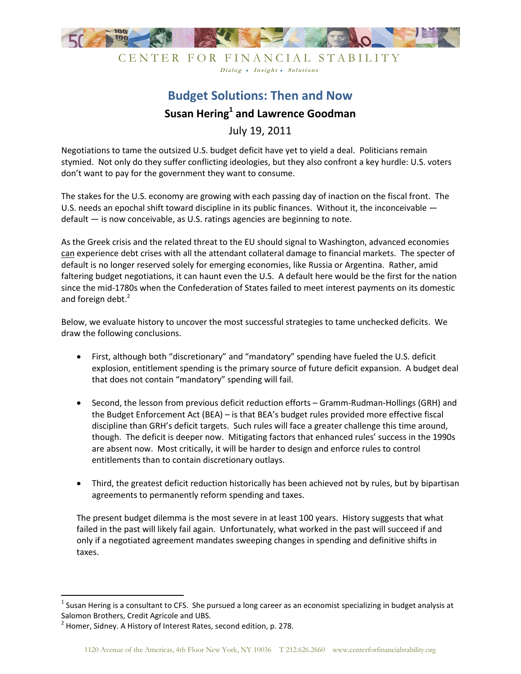

CENTER FOR FINANCIAL STABILITY Dialog • Insight • Solutions

# **Budget Solutions: Then and Now Susan Hering<sup>1</sup> and Lawrence Goodman**

July 19, 2011

Negotiations to tame the outsized U.S. budget deficit have yet to yield a deal. Politicians remain stymied. Not only do they suffer conflicting ideologies, but they also confront a key hurdle: U.S. voters don't want to pay for the government they want to consume.

The stakes for the U.S. economy are growing with each passing day of inaction on the fiscal front. The U.S. needs an epochal shift toward discipline in its public finances. Without it, the inconceivable default — is now conceivable, as U.S. ratings agencies are beginning to note.

As the Greek crisis and the related threat to the EU should signal to Washington, advanced economies can experience debt crises with all the attendant collateral damage to financial markets. The specter of default is no longer reserved solely for emerging economies, like Russia or Argentina. Rather, amid faltering budget negotiations, it can haunt even the U.S. A default here would be the first for the nation since the mid-1780s when the Confederation of States failed to meet interest payments on its domestic and foreign debt.<sup>2</sup>

Below, we evaluate history to uncover the most successful strategies to tame unchecked deficits. We draw the following conclusions.

- First, although both "discretionary" and "mandatory" spending have fueled the U.S. deficit explosion, entitlement spending is the primary source of future deficit expansion. A budget deal that does not contain "mandatory" spending will fail.
- Second, the lesson from previous deficit reduction efforts Gramm-Rudman-Hollings (GRH) and the Budget Enforcement Act (BEA) – is that BEA's budget rules provided more effective fiscal discipline than GRH's deficit targets. Such rules will face a greater challenge this time around, though. The deficit is deeper now. Mitigating factors that enhanced rules' success in the 1990s are absent now. Most critically, it will be harder to design and enforce rules to control entitlements than to contain discretionary outlays.
- Third, the greatest deficit reduction historically has been achieved not by rules, but by bipartisan agreements to permanently reform spending and taxes.

The present budget dilemma is the most severe in at least 100 years. History suggests that what failed in the past will likely fail again. Unfortunately, what worked in the past will succeed if and only if a negotiated agreement mandates sweeping changes in spending and definitive shifts in taxes.

l

 $^1$  Susan Hering is a consultant to CFS. She pursued a long career as an economist specializing in budget analysis at Salomon Brothers, Credit Agricole and UBS.

 $2$  Homer, Sidney. A History of Interest Rates, second edition, p. 278.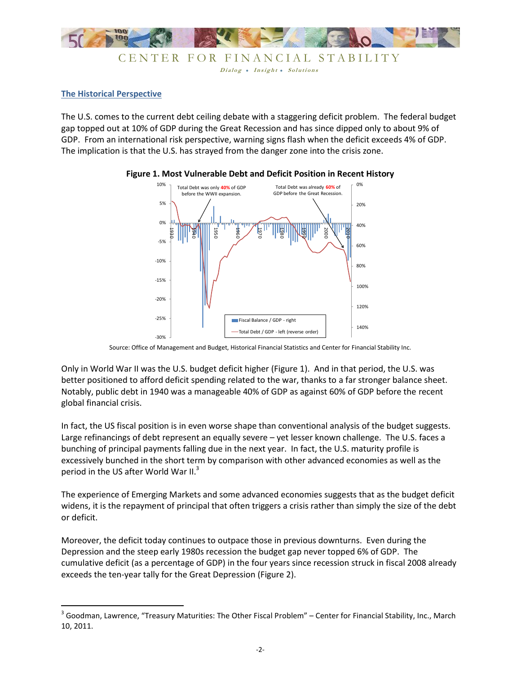

Dialog . Insight . Solutions

#### **The Historical Perspective**

The U.S. comes to the current debt ceiling debate with a staggering deficit problem. The federal budget gap topped out at 10% of GDP during the Great Recession and has since dipped only to about 9% of GDP. From an international risk perspective, warning signs flash when the deficit exceeds 4% of GDP. The implication is that the U.S. has strayed from the danger zone into the crisis zone.





Source: Office of Management and Budget, Historical Financial Statistics and Center for Financial Stability Inc.

Only in World War II was the U.S. budget deficit higher (Figure 1). And in that period, the U.S. was better positioned to afford deficit spending related to the war, thanks to a far stronger balance sheet. Notably, public debt in 1940 was a manageable 40% of GDP as against 60% of GDP before the recent global financial crisis.

In fact, the US fiscal position is in even worse shape than conventional analysis of the budget suggests. Large refinancings of debt represent an equally severe – yet lesser known challenge. The U.S. faces a bunching of principal payments falling due in the next year. In fact, the U.S. maturity profile is excessively bunched in the short term by comparison with other advanced economies as well as the period in the US after World War II.<sup>3</sup>

The experience of Emerging Markets and some advanced economies suggests that as the budget deficit widens, it is the repayment of principal that often triggers a crisis rather than simply the size of the debt or deficit.

Moreover, the deficit today continues to outpace those in previous downturns. Even during the Depression and the steep early 1980s recession the budget gap never topped 6% of GDP. The cumulative deficit (as a percentage of GDP) in the four years since recession struck in fiscal 2008 already exceeds the ten-year tally for the Great Depression (Figure 2).

 3 Goodman, Lawrence, "Treasury Maturities: The Other Fiscal Problem" – Center for Financial Stability, Inc., March 10, 2011.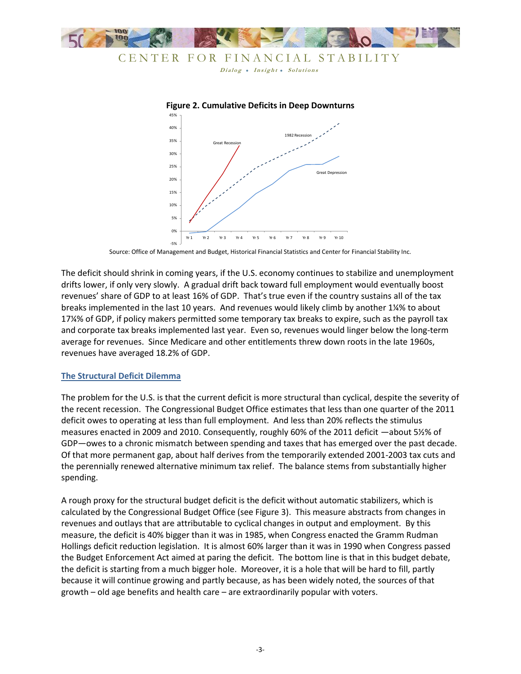

## CENTER FOR FINANCIAL STABILITY

Dialog • Insight • Solutions



**Figure 2. Cumulative Deficits in Deep Downturns**

The deficit should shrink in coming years, if the U.S. economy continues to stabilize and unemployment drifts lower, if only very slowly. A gradual drift back toward full employment would eventually boost revenues' share of GDP to at least 16% of GDP. That's true even if the country sustains all of the tax breaks implemented in the last 10 years. And revenues would likely climb by another 1¼% to about 17¼% of GDP, if policy makers permitted some temporary tax breaks to expire, such as the payroll tax and corporate tax breaks implemented last year. Even so, revenues would linger below the long-term average for revenues. Since Medicare and other entitlements threw down roots in the late 1960s, revenues have averaged 18.2% of GDP.

#### **The Structural Deficit Dilemma**

The problem for the U.S. is that the current deficit is more structural than cyclical, despite the severity of the recent recession. The Congressional Budget Office estimates that less than one quarter of the 2011 deficit owes to operating at less than full employment. And less than 20% reflects the stimulus measures enacted in 2009 and 2010. Consequently, roughly 60% of the 2011 deficit —about 5½% of GDP—owes to a chronic mismatch between spending and taxes that has emerged over the past decade. Of that more permanent gap, about half derives from the temporarily extended 2001-2003 tax cuts and the perennially renewed alternative minimum tax relief. The balance stems from substantially higher spending.

A rough proxy for the structural budget deficit is the deficit without automatic stabilizers, which is calculated by the Congressional Budget Office (see Figure 3). This measure abstracts from changes in revenues and outlays that are attributable to cyclical changes in output and employment. By this measure, the deficit is 40% bigger than it was in 1985, when Congress enacted the Gramm Rudman Hollings deficit reduction legislation. It is almost 60% larger than it was in 1990 when Congress passed the Budget Enforcement Act aimed at paring the deficit. The bottom line is that in this budget debate, the deficit is starting from a much bigger hole. Moreover, it is a hole that will be hard to fill, partly because it will continue growing and partly because, as has been widely noted, the sources of that growth – old age benefits and health care – are extraordinarily popular with voters.

Source: Office of Management and Budget, Historical Financial Statistics and Center for Financial Stability Inc.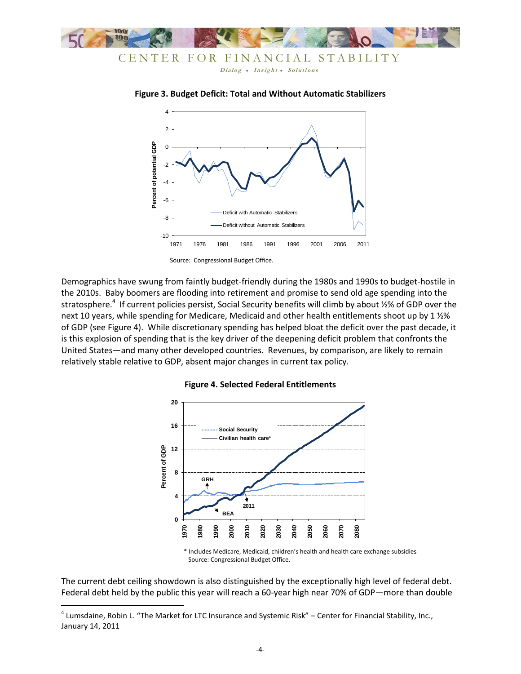



**Figure 3. Budget Deficit: Total and Without Automatic Stabilizers**

Demographics have swung from faintly budget-friendly during the 1980s and 1990s to budget-hostile in the 2010s. Baby boomers are flooding into retirement and promise to send old age spending into the stratosphere.<sup>4</sup> If current policies persist, Social Security benefits will climb by about 1⁄2% of GDP over the next 10 years, while spending for Medicare, Medicaid and other health entitlements shoot up by 1 1/2% of GDP (see Figure 4). While discretionary spending has helped bloat the deficit over the past decade, it is this explosion of spending that is the key driver of the deepening deficit problem that confronts the United States—and many other developed countries. Revenues, by comparison, are likely to remain relatively stable relative to GDP, absent major changes in current tax policy.



#### **Figure 4. Selected Federal Entitlements**

\* Includes Medicare, Medicaid, children's health and health care exchange subsidies Source: Congressional Budget Office.

The current debt ceiling showdown is also distinguished by the exceptionally high level of federal debt. Federal debt held by the public this year will reach a 60-year high near 70% of GDP—more than double

 4 Lumsdaine, Robin L. "The Market for LTC Insurance and Systemic Risk" – Center for Financial Stability, Inc., January 14, 2011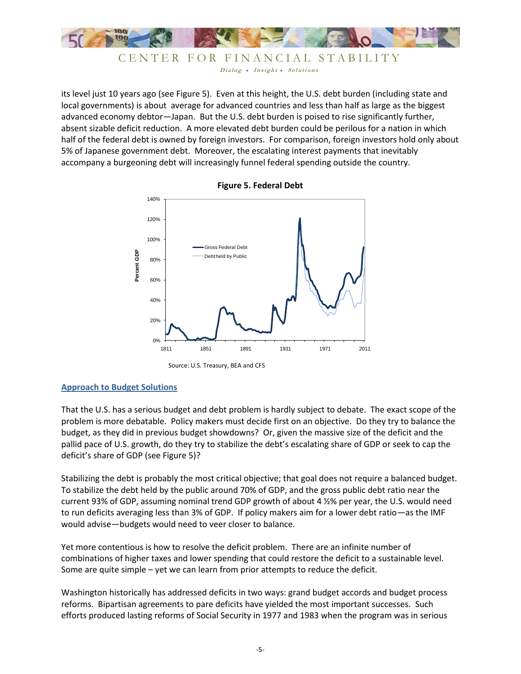

CENTER FOR FINANCIAL STABILITY Dialog • Insight • Solutions

its level just 10 years ago (see Figure 5). Even at this height, the U.S. debt burden (including state and local governments) is about average for advanced countries and less than half as large as the biggest advanced economy debtor—Japan. But the U.S. debt burden is poised to rise significantly further, absent sizable deficit reduction. A more elevated debt burden could be perilous for a nation in which half of the federal debt is owned by foreign investors. For comparison, foreign investors hold only about 5% of Japanese government debt. Moreover, the escalating interest payments that inevitably accompany a burgeoning debt will increasingly funnel federal spending outside the country.



**Figure 5. Federal Debt** 

#### **Approach to Budget Solutions**

That the U.S. has a serious budget and debt problem is hardly subject to debate. The exact scope of the problem is more debatable. Policy makers must decide first on an objective. Do they try to balance the budget, as they did in previous budget showdowns? Or, given the massive size of the deficit and the pallid pace of U.S. growth, do they try to stabilize the debt's escalating share of GDP or seek to cap the deficit's share of GDP (see Figure 5)?

Stabilizing the debt is probably the most critical objective; that goal does not require a balanced budget. To stabilize the debt held by the public around 70% of GDP, and the gross public debt ratio near the current 93% of GDP, assuming nominal trend GDP growth of about 4 ½% per year, the U.S. would need to run deficits averaging less than 3% of GDP. If policy makers aim for a lower debt ratio—as the IMF would advise—budgets would need to veer closer to balance.

Yet more contentious is how to resolve the deficit problem. There are an infinite number of combinations of higher taxes and lower spending that could restore the deficit to a sustainable level. Some are quite simple – yet we can learn from prior attempts to reduce the deficit.

Washington historically has addressed deficits in two ways: grand budget accords and budget process reforms. Bipartisan agreements to pare deficits have yielded the most important successes. Such efforts produced lasting reforms of Social Security in 1977 and 1983 when the program was in serious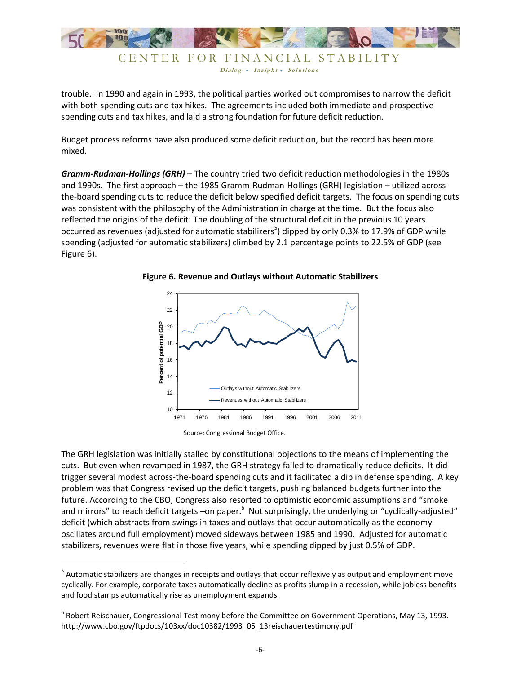

Dialog • Insight • Solutions

trouble. In 1990 and again in 1993, the political parties worked out compromises to narrow the deficit with both spending cuts and tax hikes. The agreements included both immediate and prospective spending cuts and tax hikes, and laid a strong foundation for future deficit reduction.

Budget process reforms have also produced some deficit reduction, but the record has been more mixed.

*Gramm-Rudman-Hollings (GRH)* – The country tried two deficit reduction methodologies in the 1980s and 1990s. The first approach – the 1985 Gramm-Rudman-Hollings (GRH) legislation – utilized acrossthe-board spending cuts to reduce the deficit below specified deficit targets. The focus on spending cuts was consistent with the philosophy of the Administration in charge at the time. But the focus also reflected the origins of the deficit: The doubling of the structural deficit in the previous 10 years occurred as revenues (adjusted for automatic stabilizers<sup>5</sup>) dipped by only 0.3% to 17.9% of GDP while spending (adjusted for automatic stabilizers) climbed by 2.1 percentage points to 22.5% of GDP (see Figure 6).



**Figure 6. Revenue and Outlays without Automatic Stabilizers** 

 $\overline{\phantom{a}}$ 

The GRH legislation was initially stalled by constitutional objections to the means of implementing the cuts. But even when revamped in 1987, the GRH strategy failed to dramatically reduce deficits. It did trigger several modest across-the-board spending cuts and it facilitated a dip in defense spending. A key problem was that Congress revised up the deficit targets, pushing balanced budgets further into the future. According to the CBO, Congress also resorted to optimistic economic assumptions and "smoke and mirrors" to reach deficit targets –on paper.<sup>6</sup> Not surprisingly, the underlying or "cyclically-adjusted" deficit (which abstracts from swings in taxes and outlays that occur automatically as the economy oscillates around full employment) moved sideways between 1985 and 1990. Adjusted for automatic stabilizers, revenues were flat in those five years, while spending dipped by just 0.5% of GDP.

Source: Congressional Budget Office.

<sup>&</sup>lt;sup>5</sup> Automatic stabilizers are changes in receipts and outlays that occur reflexively as output and employment move cyclically. For example, corporate taxes automatically decline as profits slump in a recession, while jobless benefits and food stamps automatically rise as unemployment expands.

<sup>6</sup> Robert Reischauer, Congressional Testimony before the Committee on Government Operations, May 13, 1993. http://www.cbo.gov/ftpdocs/103xx/doc10382/1993\_05\_13reischauertestimony.pdf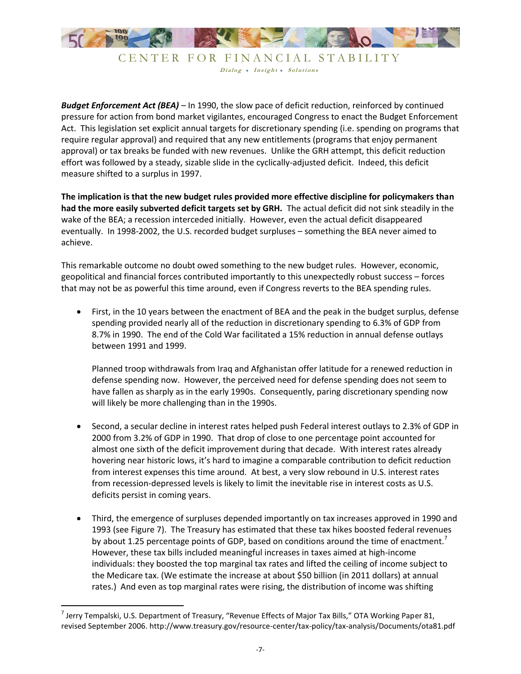

CENTER FOR FINANCIAL STABILITY Dialog . Insight . Solutions

*Budget Enforcement Act (BEA)* – In 1990, the slow pace of deficit reduction, reinforced by continued pressure for action from bond market vigilantes, encouraged Congress to enact the Budget Enforcement Act. This legislation set explicit annual targets for discretionary spending (i.e. spending on programs that require regular approval) and required that any new entitlements (programs that enjoy permanent approval) or tax breaks be funded with new revenues. Unlike the GRH attempt, this deficit reduction effort was followed by a steady, sizable slide in the cyclically-adjusted deficit. Indeed, this deficit measure shifted to a surplus in 1997.

**The implication is that the new budget rules provided more effective discipline for policymakers than had the more easily subverted deficit targets set by GRH.** The actual deficit did not sink steadily in the wake of the BEA; a recession interceded initially. However, even the actual deficit disappeared eventually. In 1998-2002, the U.S. recorded budget surpluses – something the BEA never aimed to achieve.

This remarkable outcome no doubt owed something to the new budget rules. However, economic, geopolitical and financial forces contributed importantly to this unexpectedly robust success – forces that may not be as powerful this time around, even if Congress reverts to the BEA spending rules.

 First, in the 10 years between the enactment of BEA and the peak in the budget surplus, defense spending provided nearly all of the reduction in discretionary spending to 6.3% of GDP from 8.7% in 1990. The end of the Cold War facilitated a 15% reduction in annual defense outlays between 1991 and 1999.

Planned troop withdrawals from Iraq and Afghanistan offer latitude for a renewed reduction in defense spending now. However, the perceived need for defense spending does not seem to have fallen as sharply as in the early 1990s. Consequently, paring discretionary spending now will likely be more challenging than in the 1990s.

- Second, a secular decline in interest rates helped push Federal interest outlays to 2.3% of GDP in 2000 from 3.2% of GDP in 1990. That drop of close to one percentage point accounted for almost one sixth of the deficit improvement during that decade. With interest rates already hovering near historic lows, it's hard to imagine a comparable contribution to deficit reduction from interest expenses this time around. At best, a very slow rebound in U.S. interest rates from recession-depressed levels is likely to limit the inevitable rise in interest costs as U.S. deficits persist in coming years.
- Third, the emergence of surpluses depended importantly on tax increases approved in 1990 and 1993 (see Figure 7). The Treasury has estimated that these tax hikes boosted federal revenues by about 1.25 percentage points of GDP, based on conditions around the time of enactment.<sup>7</sup> However, these tax bills included meaningful increases in taxes aimed at high-income individuals: they boosted the top marginal tax rates and lifted the ceiling of income subject to the Medicare tax. (We estimate the increase at about \$50 billion (in 2011 dollars) at annual rates.) And even as top marginal rates were rising, the distribution of income was shifting

 7 Jerry Tempalski, U.S. Department of Treasury, "Revenue Effects of Major Tax Bills," OTA Working Paper 81, revised September 2006. http://www.treasury.gov/resource-center/tax-policy/tax-analysis/Documents/ota81.pdf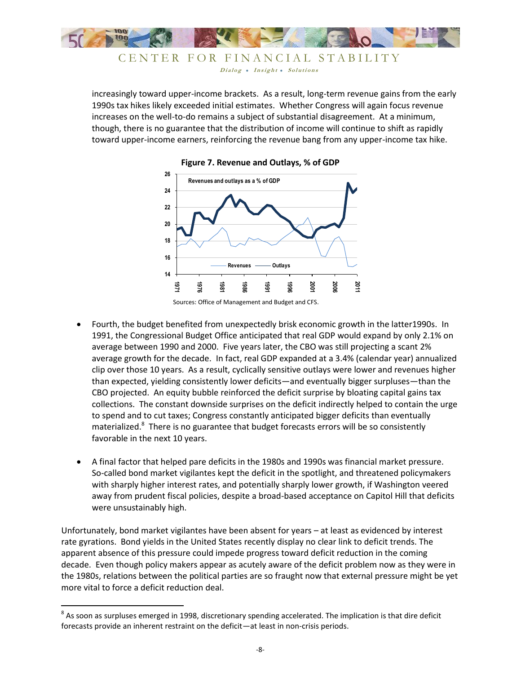

CENTER FOR FINANCIAL STABILITY Dialog • Insight • Solutions

increasingly toward upper-income brackets. As a result, long-term revenue gains from the early 1990s tax hikes likely exceeded initial estimates. Whether Congress will again focus revenue increases on the well-to-do remains a subject of substantial disagreement. At a minimum, though, there is no guarantee that the distribution of income will continue to shift as rapidly toward upper-income earners, reinforcing the revenue bang from any upper-income tax hike.





- Fourth, the budget benefited from unexpectedly brisk economic growth in the latter1990s. In 1991, the Congressional Budget Office anticipated that real GDP would expand by only 2.1% on average between 1990 and 2000. Five years later, the CBO was still projecting a scant 2% average growth for the decade. In fact, real GDP expanded at a 3.4% (calendar year) annualized clip over those 10 years. As a result, cyclically sensitive outlays were lower and revenues higher than expected, yielding consistently lower deficits—and eventually bigger surpluses—than the CBO projected. An equity bubble reinforced the deficit surprise by bloating capital gains tax collections. The constant downside surprises on the deficit indirectly helped to contain the urge to spend and to cut taxes; Congress constantly anticipated bigger deficits than eventually materialized.<sup>8</sup> There is no guarantee that budget forecasts errors will be so consistently favorable in the next 10 years.
- A final factor that helped pare deficits in the 1980s and 1990s was financial market pressure. So-called bond market vigilantes kept the deficit in the spotlight, and threatened policymakers with sharply higher interest rates, and potentially sharply lower growth, if Washington veered away from prudent fiscal policies, despite a broad-based acceptance on Capitol Hill that deficits were unsustainably high.

Unfortunately, bond market vigilantes have been absent for years – at least as evidenced by interest rate gyrations. Bond yields in the United States recently display no clear link to deficit trends. The apparent absence of this pressure could impede progress toward deficit reduction in the coming decade. Even though policy makers appear as acutely aware of the deficit problem now as they were in the 1980s, relations between the political parties are so fraught now that external pressure might be yet more vital to force a deficit reduction deal.

**As soon as surpluses emerged in 1998, discretionary spending accelerated. The implication is that dire deficit**<br>As soon as surpluses emerged in 1998, discretionary spending accelerated. The implication is that dire defici forecasts provide an inherent restraint on the deficit—at least in non-crisis periods.